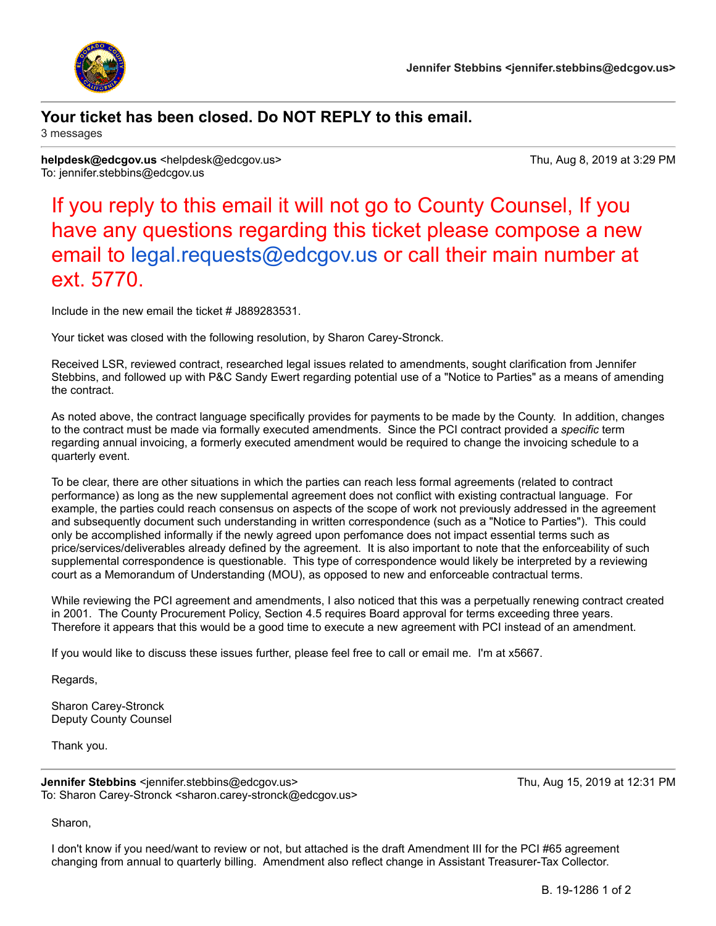

## **Your ticket has been closed. Do NOT REPLY to this email.**

3 messages

**helpdesk@edcgov.us** <helpdesk@edcgov.us> Thu, Aug 8, 2019 at 3:29 PM To: jennifer.stebbins@edcgov.us

If you reply to this email it will not go to County Counsel, If you have any questions regarding this ticket please compose a new email to [legal.requests@edcgov.us](mailto:legal.requests@edcgov.us) or call their main number at ext. 5770.

Include in the new email the ticket # J889283531.

Your ticket was closed with the following resolution, by Sharon Carey-Stronck.

Received LSR, reviewed contract, researched legal issues related to amendments, sought clarification from Jennifer Stebbins, and followed up with P&C Sandy Ewert regarding potential use of a "Notice to Parties" as a means of amending the contract.

As noted above, the contract language specifically provides for payments to be made by the County. In addition, changes to the contract must be made via formally executed amendments. Since the PCI contract provided a *specific* term regarding annual invoicing, a formerly executed amendment would be required to change the invoicing schedule to a quarterly event.

To be clear, there are other situations in which the parties can reach less formal agreements (related to contract performance) as long as the new supplemental agreement does not conflict with existing contractual language. For example, the parties could reach consensus on aspects of the scope of work not previously addressed in the agreement and subsequently document such understanding in written correspondence (such as a "Notice to Parties"). This could only be accomplished informally if the newly agreed upon perfomance does not impact essential terms such as price/services/deliverables already defined by the agreement. It is also important to note that the enforceability of such supplemental correspondence is questionable. This type of correspondence would likely be interpreted by a reviewing court as a Memorandum of Understanding (MOU), as opposed to new and enforceable contractual terms.

While reviewing the PCI agreement and amendments, I also noticed that this was a perpetually renewing contract created in 2001. The County Procurement Policy, Section 4.5 requires Board approval for terms exceeding three years. Therefore it appears that this would be a good time to execute a new agreement with PCI instead of an amendment.

If you would like to discuss these issues further, please feel free to call or email me. I'm at x5667.

Regards,

Sharon Carey-Stronck Deputy County Counsel

Thank you.

**Jennifer Stebbins <**jennifer.stebbins@edcgov.us> Thu, Aug 15, 2019 at 12:31 PM To: Sharon Carey-Stronck <sharon.carey-stronck@edcgov.us>

Sharon,

I don't know if you need/want to review or not, but attached is the draft Amendment III for the PCI #65 agreement changing from annual to quarterly billing. Amendment also reflect change in Assistant Treasurer-Tax Collector.